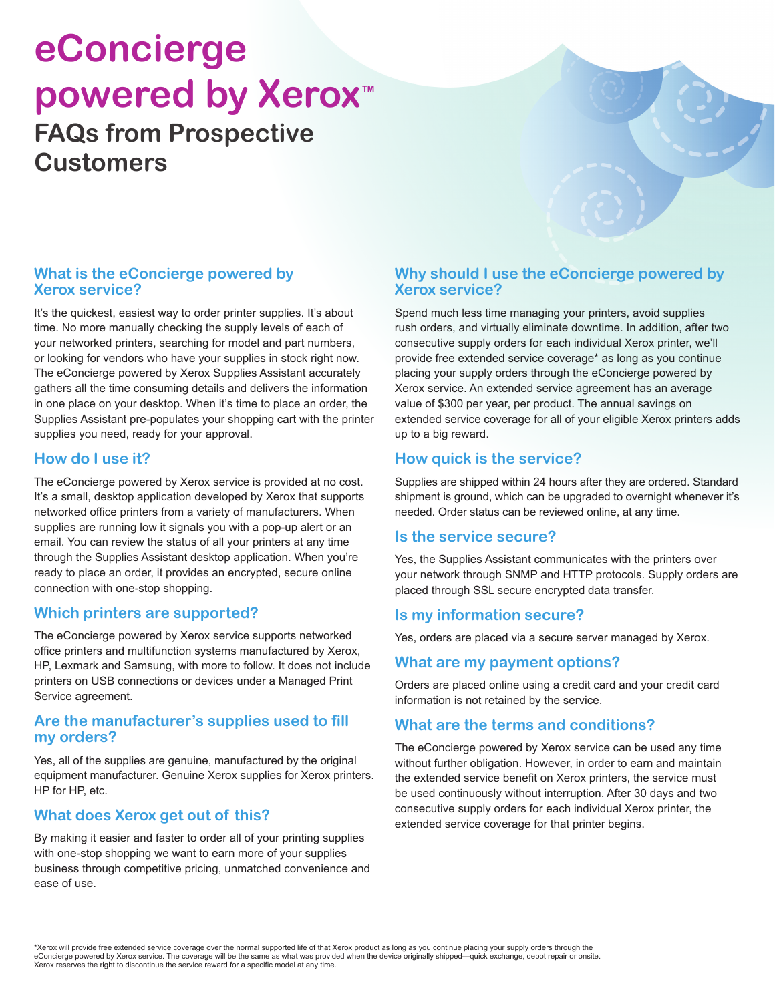## **eConcierge powered by Xerox™ FAQs from Prospective Customers**

### **What is the eConcierge powered by Xerox service?**

It's the quickest, easiest way to order printer supplies. It's about time. No more manually checking the supply levels of each of your networked printers, searching for model and part numbers, or looking for vendors who have your supplies in stock right now. The eConcierge powered by Xerox Supplies Assistant accurately gathers all the time consuming details and delivers the information in one place on your desktop. When it's time to place an order, the Supplies Assistant pre-populates your shopping cart with the printer supplies you need, ready for your approval.

### **How do I use it?**

The eConcierge powered by Xerox service is provided at no cost. It's a small, desktop application developed by Xerox that supports networked office printers from a variety of manufacturers. When supplies are running low it signals you with a pop-up alert or an email. You can review the status of all your printers at any time through the Supplies Assistant desktop application. When you're ready to place an order, it provides an encrypted, secure online connection with one-stop shopping.

### **Which printers are supported?**

The eConcierge powered by Xerox service supports networked office printers and multifunction systems manufactured by Xerox, HP, Lexmark and Samsung, with more to follow. It does not include printers on USB connections or devices under a Managed Print Service agreement.

### **Are the manufacturer's supplies used to fill my orders?**

Yes, all of the supplies are genuine, manufactured by the original equipment manufacturer. Genuine Xerox supplies for Xerox printers. HP for HP, etc.

## **What does Xerox get out of this?**

By making it easier and faster to order all of your printing supplies with one-stop shopping we want to earn more of your supplies business through competitive pricing, unmatched convenience and ease of use.

## **Why should I use the eConcierge powered by Xerox service?**

Spend much less time managing your printers, avoid supplies rush orders, and virtually eliminate downtime. In addition, after two consecutive supply orders for each individual Xerox printer, we'll provide free extended service coverage\* as long as you continue placing your supply orders through the eConcierge powered by Xerox service. An extended service agreement has an average value of \$300 per year, per product. The annual savings on extended service coverage for all of your eligible Xerox printers adds up to a big reward.

## **How quick is the service?**

Supplies are shipped within 24 hours after they are ordered. Standard shipment is ground, which can be upgraded to overnight whenever it's needed. Order status can be reviewed online, at any time.

### **Is the service secure?**

Yes, the Supplies Assistant communicates with the printers over your network through SNMP and HTTP protocols. Supply orders are placed through SSL secure encrypted data transfer.

## **Is my information secure?**

Yes, orders are placed via a secure server managed by Xerox.

## **What are my payment options?**

Orders are placed online using a credit card and your credit card information is not retained by the service.

## **What are the terms and conditions?**

The eConcierge powered by Xerox service can be used any time without further obligation. However, in order to earn and maintain the extended service benefit on Xerox printers, the service must be used continuously without interruption. After 30 days and two consecutive supply orders for each individual Xerox printer, the extended service coverage for that printer begins.

\*Xerox will provide free extended service coverage over the normal supported life of that Xerox product as long as you continue placing your supply orders through the eConcierge powered by Xerox service. The coverage will be the same as what was provided when the device originally shipped—quick exchange, depot repair or onsite. Xerox reserves the right to discontinue the service reward for a specific model at any time.